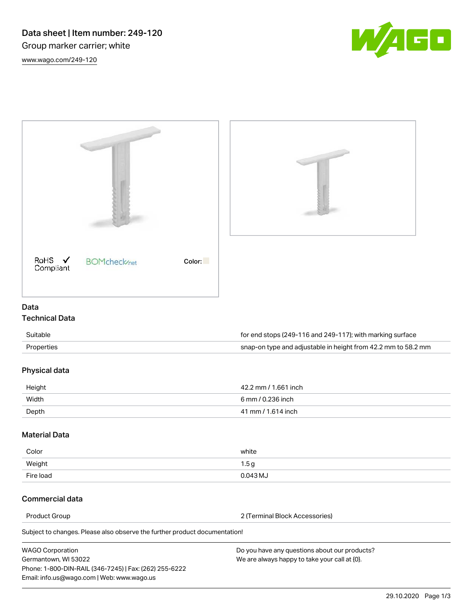



| <b>WAGO Corporation</b>                                | Do you have any questions about our products? |
|--------------------------------------------------------|-----------------------------------------------|
| Germantown, WI 53022                                   | We are always happy to take your call at {0}. |
| Phone: 1-800-DIN-RAIL (346-7245)   Fax: (262) 255-6222 |                                               |
| Email: info.us@wago.com   Web: www.wago.us             |                                               |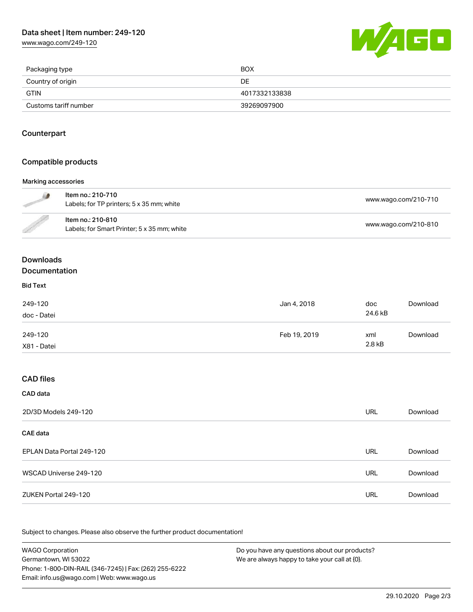[www.wago.com/249-120](http://www.wago.com/249-120)



| Packaging type        | BOX           |
|-----------------------|---------------|
| Country of origin     | DE            |
| GTIN                  | 4017332133838 |
| Customs tariff number | 39269097900   |

## **Counterpart**

#### Compatible products

#### Marking accessories

|                  | Item no.: 210-710<br>Labels; for TP printers; 5 x 35 mm; white   | www.wago.com/210-710 |
|------------------|------------------------------------------------------------------|----------------------|
| <b>Carpenter</b> | Item no.: 210-810<br>Labels; for Smart Printer; 5 x 35 mm; white | www.wago.com/210-810 |

## Downloads Documentation

#### Bid Text

| 249-120<br>doc - Datei | Jan 4, 2018  | doc<br>24.6 kB | Download |
|------------------------|--------------|----------------|----------|
| 249-120<br>X81 - Datei | Feb 19, 2019 | xml<br>2.8 kB  | Download |

# CAD files

| CAD data                  |     |          |
|---------------------------|-----|----------|
| 2D/3D Models 249-120      | URL | Download |
| <b>CAE</b> data           |     |          |
| EPLAN Data Portal 249-120 | URL | Download |
| WSCAD Universe 249-120    | URL | Download |
| ZUKEN Portal 249-120      | URL | Download |

Subject to changes. Please also observe the further product documentation!

| <b>WAGO Corporation</b>                                | Do you have any questions about our products? |
|--------------------------------------------------------|-----------------------------------------------|
| Germantown, WI 53022                                   | We are always happy to take your call at {0}. |
| Phone: 1-800-DIN-RAIL (346-7245)   Fax: (262) 255-6222 |                                               |
| Email: info.us@wago.com   Web: www.wago.us             |                                               |